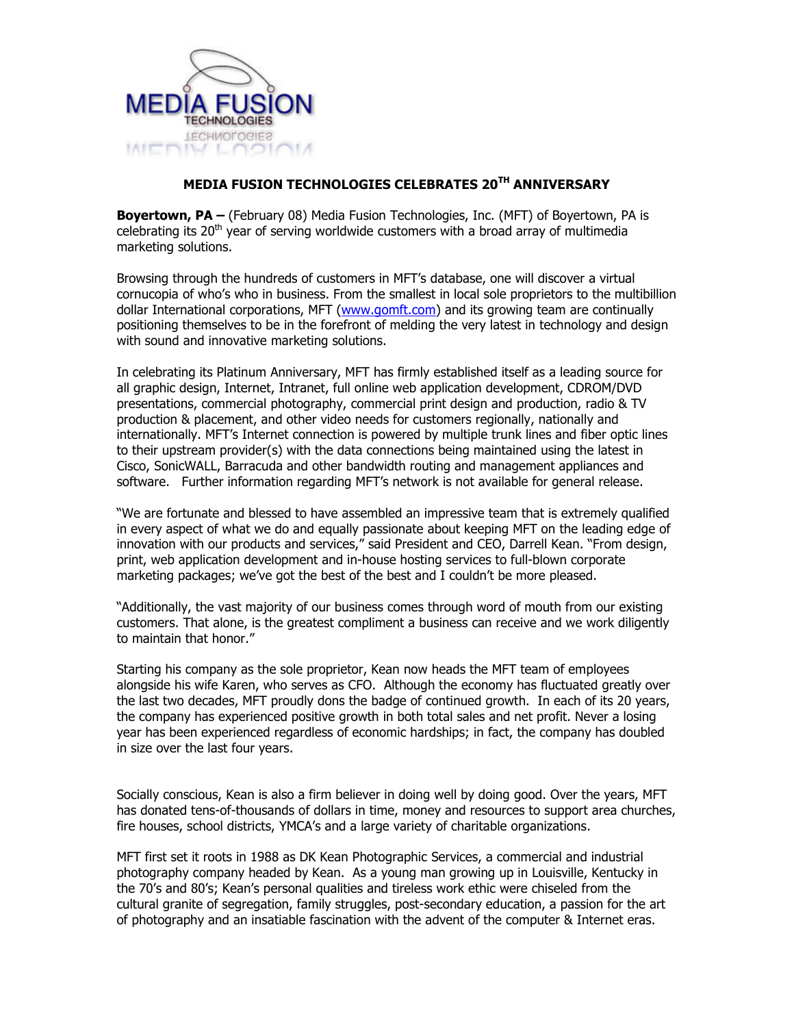

## MEDIA FUSION TECHNOLOGIES CELEBRATES 20TH ANNIVERSARY

Boyertown, PA – (February 08) Media Fusion Technologies, Inc. (MFT) of Boyertown, PA is celebrating its 20<sup>th</sup> year of serving worldwide customers with a broad array of multimedia marketing solutions.

Browsing through the hundreds of customers in MFT's database, one will discover a virtual cornucopia of who's who in business. From the smallest in local sole proprietors to the multibillion dollar International corporations, MFT (www.gomft.com) and its growing team are continually positioning themselves to be in the forefront of melding the very latest in technology and design with sound and innovative marketing solutions.

In celebrating its Platinum Anniversary, MFT has firmly established itself as a leading source for all graphic design, Internet, Intranet, full online web application development, CDROM/DVD presentations, commercial photography, commercial print design and production, radio & TV production & placement, and other video needs for customers regionally, nationally and internationally. MFT's Internet connection is powered by multiple trunk lines and fiber optic lines to their upstream provider(s) with the data connections being maintained using the latest in Cisco, SonicWALL, Barracuda and other bandwidth routing and management appliances and software. Further information regarding MFT's network is not available for general release.

"We are fortunate and blessed to have assembled an impressive team that is extremely qualified in every aspect of what we do and equally passionate about keeping MFT on the leading edge of innovation with our products and services," said President and CEO, Darrell Kean. "From design, print, web application development and in-house hosting services to full-blown corporate marketing packages; we've got the best of the best and I couldn't be more pleased.

"Additionally, the vast majority of our business comes through word of mouth from our existing customers. That alone, is the greatest compliment a business can receive and we work diligently to maintain that honor."

Starting his company as the sole proprietor, Kean now heads the MFT team of employees alongside his wife Karen, who serves as CFO. Although the economy has fluctuated greatly over the last two decades, MFT proudly dons the badge of continued growth. In each of its 20 years, the company has experienced positive growth in both total sales and net profit. Never a losing year has been experienced regardless of economic hardships; in fact, the company has doubled in size over the last four years.

Socially conscious, Kean is also a firm believer in doing well by doing good. Over the years, MFT has donated tens-of-thousands of dollars in time, money and resources to support area churches, fire houses, school districts, YMCA's and a large variety of charitable organizations.

MFT first set it roots in 1988 as DK Kean Photographic Services, a commercial and industrial photography company headed by Kean. As a young man growing up in Louisville, Kentucky in the 70's and 80's; Kean's personal qualities and tireless work ethic were chiseled from the cultural granite of segregation, family struggles, post-secondary education, a passion for the art of photography and an insatiable fascination with the advent of the computer & Internet eras.